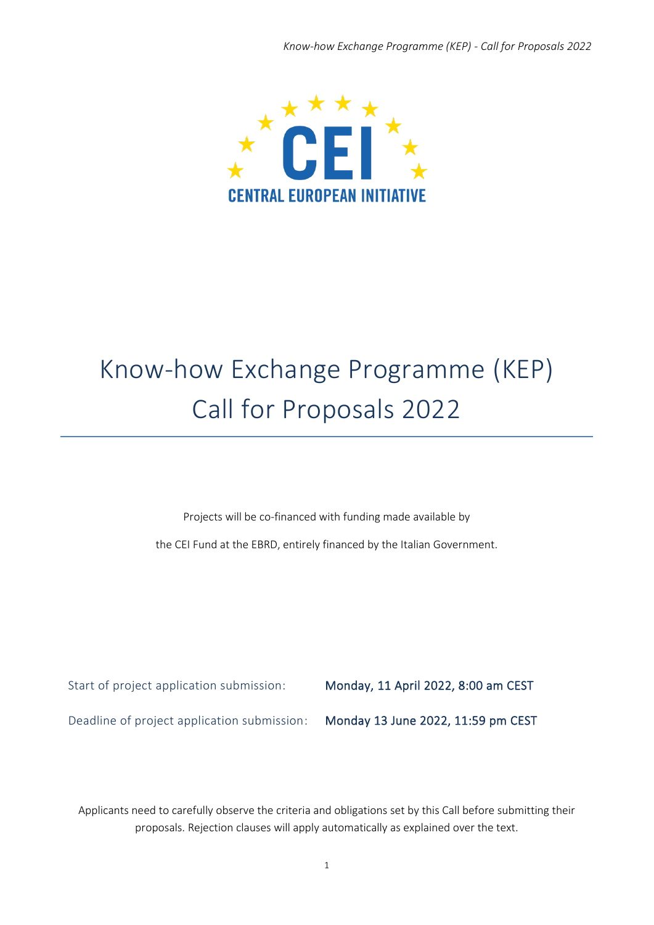

# Know-how Exchange Programme (KEP) Call for Proposals 2022

Projects will be co‐financed with funding made available by

the CEI Fund at the EBRD, entirely financed by the Italian Government.

Start of project application submission: Monday, 11 April 2022, 8:00 am CEST

Deadline of project application submission: Monday 13 June 2022, 11:59 pm CEST

Applicants need to carefully observe the criteria and obligations set by this Call before submitting their proposals. Rejection clauses will apply automatically as explained over the text.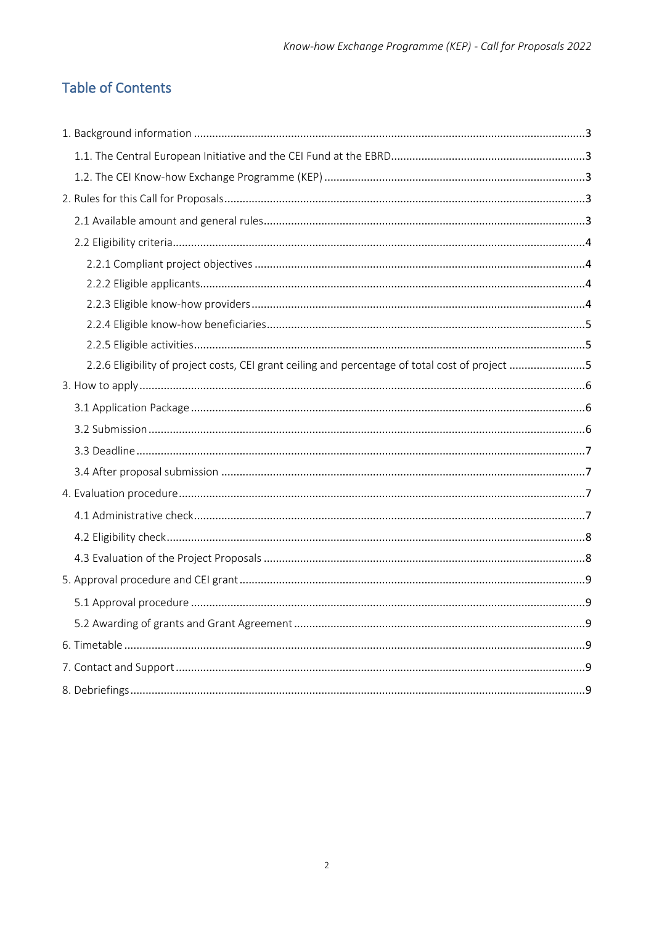# **Table of Contents**

| 2.2.6 Eligibility of project costs, CEI grant ceiling and percentage of total cost of project 5 |  |
|-------------------------------------------------------------------------------------------------|--|
|                                                                                                 |  |
|                                                                                                 |  |
|                                                                                                 |  |
|                                                                                                 |  |
|                                                                                                 |  |
|                                                                                                 |  |
|                                                                                                 |  |
|                                                                                                 |  |
|                                                                                                 |  |
|                                                                                                 |  |
|                                                                                                 |  |
|                                                                                                 |  |
|                                                                                                 |  |
|                                                                                                 |  |
|                                                                                                 |  |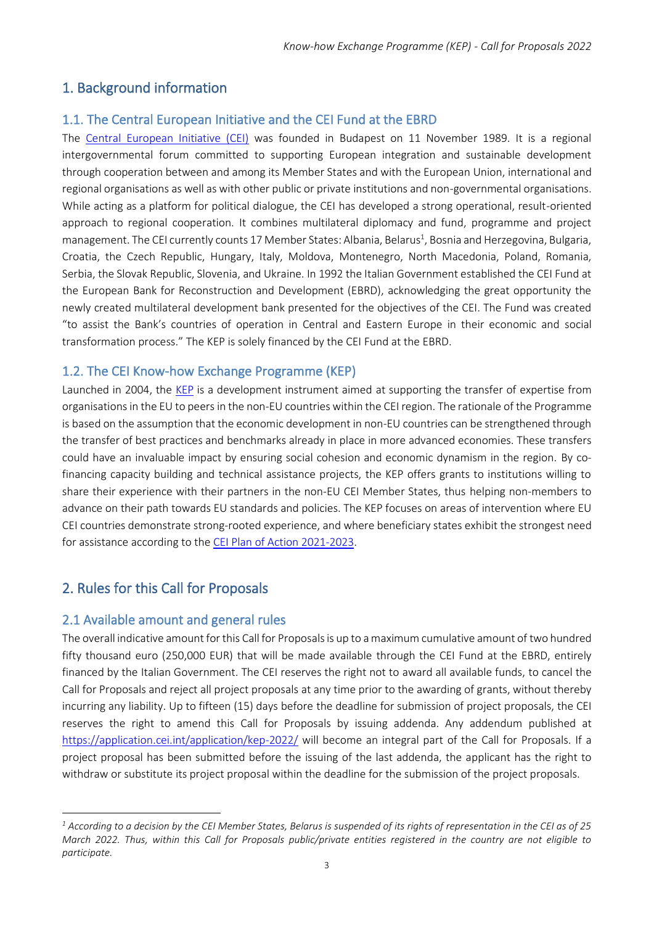#### <span id="page-2-0"></span>1. Background information

#### <span id="page-2-1"></span>1.1. The Central European Initiative and the CEI Fund at the EBRD

The [Central European Initiative \(CEI\)](https://www.cei.int/) was founded in Budapest on 11 November 1989. It is a regional intergovernmental forum committed to supporting European integration and sustainable development through cooperation between and among its Member States and with the European Union, international and regional organisations as well as with other public or private institutions and non-governmental organisations. While acting as a platform for political dialogue, the CEI has developed a strong operational, result-oriented approach to regional cooperation. It combines multilateral diplomacy and fund, programme and project management. The CEI currently counts 17 Member States: Albania, Belarus<sup>1</sup>, Bosnia and Herzegovina, Bulgaria, Croatia, the Czech Republic, Hungary, Italy, Moldova, Montenegro, North Macedonia, Poland, Romania, Serbia, the Slovak Republic, Slovenia, and Ukraine. In 1992 the Italian Government established the CEI Fund at the European Bank for Reconstruction and Development (EBRD), acknowledging the great opportunity the newly created multilateral development bank presented for the objectives of the CEI. The Fund was created "to assist the Bank's countries of operation in Central and Eastern Europe in their economic and social transformation process." The KEP is solely financed by the CEI Fund at the EBRD.

#### <span id="page-2-2"></span>1.2. The CEI Know‐how Exchange Programme (KEP)

Launched in 2004, the [KEP](https://www.cei.int/kep) is a development instrument aimed at supporting the transfer of expertise from organisations in the EU to peers in the non‐EU countries within the CEI region. The rationale of the Programme is based on the assumption that the economic development in non-EU countries can be strengthened through the transfer of best practices and benchmarks already in place in more advanced economies. These transfers could have an invaluable impact by ensuring social cohesion and economic dynamism in the region. By cofinancing capacity building and technical assistance projects, the KEP offers grants to institutions willing to share their experience with their partners in the non-EU CEI Member States, thus helping non-members to advance on their path towards EU standards and policies. The KEP focuses on areas of intervention where EU CEI countries demonstrate strong‐rooted experience, and where beneficiary states exhibit the strongest need for assistance according to the [CEI Plan of Action 2021-2023.](https://www.cei.int/sites/default/files/publications/downloads/CEI%20Plan%20of%20Action%20DIGITAL%20ESEC%20FINAL.pdf)

## <span id="page-2-3"></span>2. Rules for this Call for Proposals

#### <span id="page-2-4"></span>2.1 Available amount and general rules

The overall indicative amount for this Call for Proposals is up to a maximum cumulative amount of two hundred fifty thousand euro (250,000 EUR) that will be made available through the CEI Fund at the EBRD, entirely financed by the Italian Government. The CEI reserves the right not to award all available funds, to cancel the Call for Proposals and reject all project proposals at any time prior to the awarding of grants, without thereby incurring any liability. Up to fifteen (15) days before the deadline for submission of project proposals, the CEI reserves the right to amend this Call for Proposals by issuing addenda. Any addendum published at <https://application.cei.int/application/kep-2022/> will become an integral part of the Call for Proposals. If a project proposal has been submitted before the issuing of the last addenda, the applicant has the right to withdraw or substitute its project proposal within the deadline for the submission of the project proposals.

*<sup>1</sup> According to a decision by the CEI Member States, Belarus is suspended of its rights of representation in the CEI as of 25 March 2022. Thus, within this Call for Proposals public/private entities registered in the country are not eligible to participate.*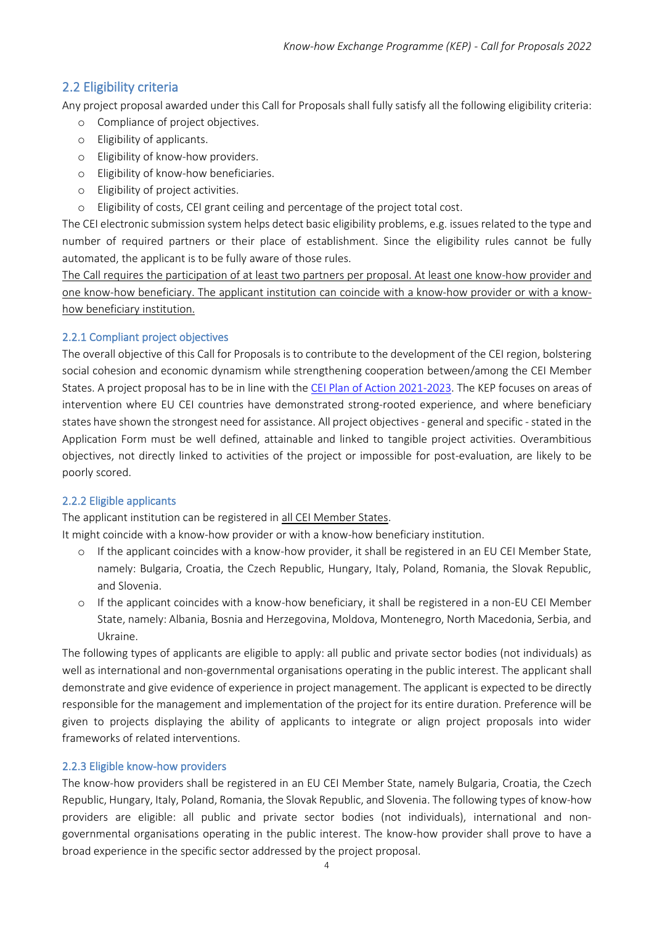## <span id="page-3-0"></span>2.2 Eligibility criteria

Any project proposal awarded under this Call for Proposals shall fully satisfy all the following eligibility criteria:

- o Compliance of project objectives.
- o Eligibility of applicants.
- o Eligibility of know-how providers.
- o Eligibility of know-how beneficiaries.
- o Eligibility of project activities.
- o Eligibility of costs, CEI grant ceiling and percentage of the project total cost.

The CEI electronic submission system helps detect basic eligibility problems, e.g. issues related to the type and number of required partners or their place of establishment. Since the eligibility rules cannot be fully automated, the applicant is to be fully aware of those rules.

The Call requires the participation of at least two partners per proposal. At least one know-how provider and one know-how beneficiary. The applicant institution can coincide with a know-how provider or with a knowhow beneficiary institution.

#### <span id="page-3-1"></span>2.2.1 Compliant project objectives

The overall objective of this Call for Proposals is to contribute to the development of the CEI region, bolstering social cohesion and economic dynamism while strengthening cooperation between/among the CEI Member States. A project proposal has to be in line with the [CEI Plan of Action 2021-2023.](https://www.cei.int/sites/default/files/publications/downloads/CEI%20Plan%20of%20Action%20DIGITAL%20ESEC%20FINAL.pdf) The KEP focuses on areas of intervention where EU CEI countries have demonstrated strong-rooted experience, and where beneficiary states have shown the strongest need for assistance. All project objectives - general and specific - stated in the Application Form must be well defined, attainable and linked to tangible project activities. Overambitious objectives, not directly linked to activities of the project or impossible for post‐evaluation, are likely to be poorly scored.

#### <span id="page-3-2"></span>2.2.2 Eligible applicants

The applicant institution can be registered in all CEI Member States.

It might coincide with a know-how provider or with a know-how beneficiary institution.

- o If the applicant coincides with a know-how provider, it shall be registered in an EU CEI Member State, namely: Bulgaria, Croatia, the Czech Republic, Hungary, Italy, Poland, Romania, the Slovak Republic, and Slovenia.
- o If the applicant coincides with a know-how beneficiary, it shall be registered in a non-EU CEI Member State, namely: Albania, Bosnia and Herzegovina, Moldova, Montenegro, North Macedonia, Serbia, and Ukraine.

The following types of applicants are eligible to apply: all public and private sector bodies (not individuals) as well as international and non‐governmental organisations operating in the public interest. The applicant shall demonstrate and give evidence of experience in project management. The applicant is expected to be directly responsible for the management and implementation of the project for its entire duration. Preference will be given to projects displaying the ability of applicants to integrate or align project proposals into wider frameworks of related interventions.

#### <span id="page-3-3"></span>2.2.3 Eligible know-how providers

The know-how providers shall be registered in an EU CEI Member State, namely Bulgaria, Croatia, the Czech Republic, Hungary, Italy, Poland, Romania, the Slovak Republic, and Slovenia. The following types of know-how providers are eligible: all public and private sector bodies (not individuals), international and nongovernmental organisations operating in the public interest. The know-how provider shall prove to have a broad experience in the specific sector addressed by the project proposal.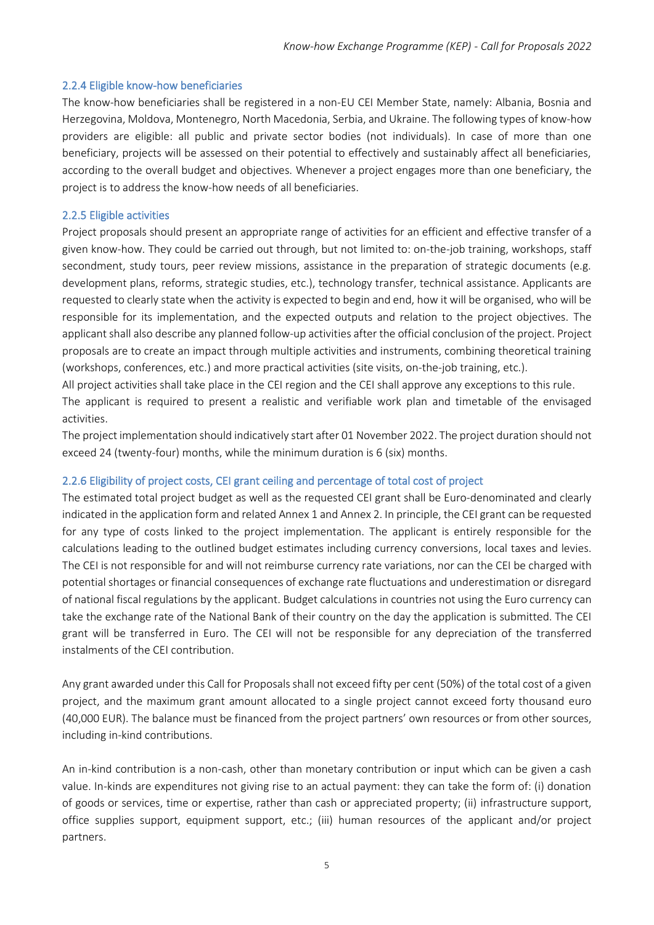#### <span id="page-4-0"></span>2.2.4 Eligible know-how beneficiaries

The know-how beneficiaries shall be registered in a non-EU CEI Member State, namely: Albania, Bosnia and Herzegovina, Moldova, Montenegro, North Macedonia, Serbia, and Ukraine. The following types of know-how providers are eligible: all public and private sector bodies (not individuals). In case of more than one beneficiary, projects will be assessed on their potential to effectively and sustainably affect all beneficiaries, according to the overall budget and objectives. Whenever a project engages more than one beneficiary, the project is to address the know‐how needs of all beneficiaries.

#### <span id="page-4-1"></span>2.2.5 Eligible activities

Project proposals should present an appropriate range of activities for an efficient and effective transfer of a given know-how. They could be carried out through, but not limited to: on-the-job training, workshops, staff secondment, study tours, peer review missions, assistance in the preparation of strategic documents (e.g. development plans, reforms, strategic studies, etc.), technology transfer, technical assistance. Applicants are requested to clearly state when the activity is expected to begin and end, how it will be organised, who will be responsible for its implementation, and the expected outputs and relation to the project objectives. The applicant shall also describe any planned follow-up activities after the official conclusion of the project. Project proposals are to create an impact through multiple activities and instruments, combining theoretical training (workshops, conferences, etc.) and more practical activities (site visits, on‐the‐job training, etc.).

All project activities shall take place in the CEI region and the CEI shall approve any exceptions to this rule.

The applicant is required to present a realistic and verifiable work plan and timetable of the envisaged activities.

The project implementation should indicatively start after 01 November 2022. The project duration should not exceed 24 (twenty-four) months, while the minimum duration is 6 (six) months.

#### <span id="page-4-2"></span>2.2.6 Eligibility of project costs, CEI grant ceiling and percentage of total cost of project

The estimated total project budget as well as the requested CEI grant shall be Euro-denominated and clearly indicated in the application form and related Annex 1 and Annex 2. In principle, the CEI grant can be requested for any type of costs linked to the project implementation. The applicant is entirely responsible for the calculations leading to the outlined budget estimates including currency conversions, local taxes and levies. The CEI is not responsible for and will not reimburse currency rate variations, nor can the CEI be charged with potential shortages or financial consequences of exchange rate fluctuations and underestimation or disregard of national fiscal regulations by the applicant. Budget calculations in countries not using the Euro currency can take the exchange rate of the National Bank of their country on the day the application is submitted. The CEI grant will be transferred in Euro. The CEI will not be responsible for any depreciation of the transferred instalments of the CEI contribution.

Any grant awarded under this Call for Proposals shall not exceed fifty per cent (50%) of the total cost of a given project, and the maximum grant amount allocated to a single project cannot exceed forty thousand euro (40,000 EUR). The balance must be financed from the project partners' own resources or from other sources, including in-kind contributions.

An in-kind contribution is a non-cash, other than monetary contribution or input which can be given a cash value. In-kinds are expenditures not giving rise to an actual payment: they can take the form of: (i) donation of goods or services, time or expertise, rather than cash or appreciated property; (ii) infrastructure support, office supplies support, equipment support, etc.; (iii) human resources of the applicant and/or project partners.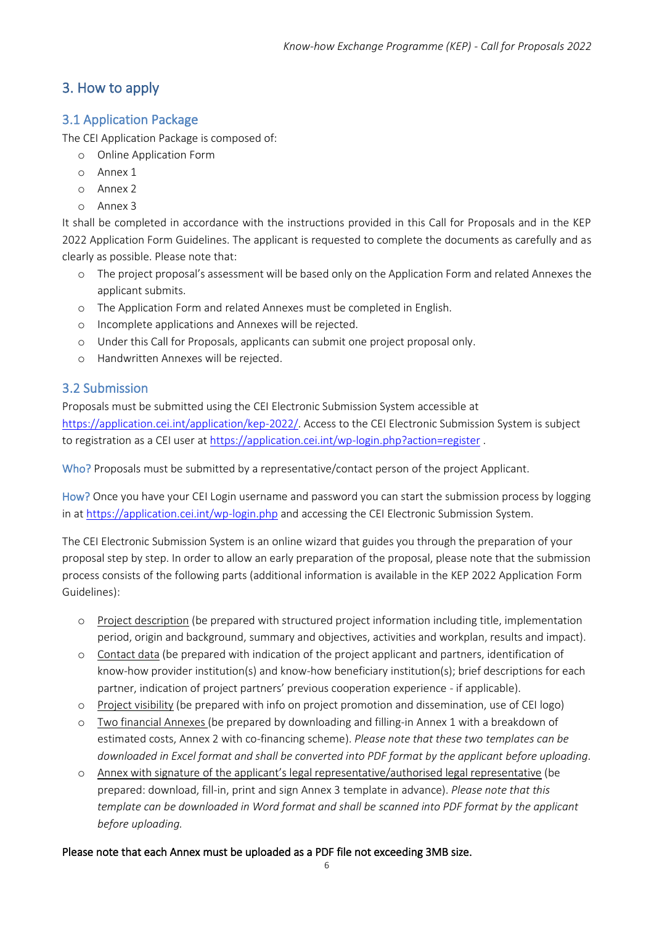## <span id="page-5-0"></span>3. How to apply

#### <span id="page-5-1"></span>3.1 Application Package

The CEI Application Package is composed of:

- o Online Application Form
- o Annex 1
- o Annex 2
- o Annex 3

It shall be completed in accordance with the instructions provided in this Call for Proposals and in the KEP 2022 Application Form Guidelines. The applicant is requested to complete the documents as carefully and as clearly as possible. Please note that:

- o The project proposal's assessment will be based only on the Application Form and related Annexes the applicant submits.
- o The Application Form and related Annexes must be completed in English.
- o Incomplete applications and Annexes will be rejected.
- o Under this Call for Proposals, applicants can submit one project proposal only.
- o Handwritten Annexes will be rejected.

#### <span id="page-5-2"></span>3.2 Submission

Proposals must be submitted using the CEI Electronic Submission System accessible at [https://application.cei.int/application/kep-2022/.](https://application.cei.int/application/kep-2022/) Access to the CEI Electronic Submission System is subject to registration as a CEI user at<https://application.cei.int/wp-login.php?action=register> .

Who? Proposals must be submitted by a representative/contact person of the project Applicant.

How? Once you have your CEI Login username and password you can start the submission process by logging in a[t https://application.cei.int/wp-login.php](https://application.cei.int/wp-login.php) and accessing the CEI Electronic Submission System.

The CEI Electronic Submission System is an online wizard that guides you through the preparation of your proposal step by step. In order to allow an early preparation of the proposal, please note that the submission process consists of the following parts (additional information is available in the KEP 2022 Application Form Guidelines):

- o Project description (be prepared with structured project information including title, implementation period, origin and background, summary and objectives, activities and workplan, results and impact).
- o Contact data (be prepared with indication of the project applicant and partners, identification of know-how provider institution(s) and know-how beneficiary institution(s); brief descriptions for each partner, indication of project partners' previous cooperation experience - if applicable).
- o Project visibility (be prepared with info on project promotion and dissemination, use of CEI logo)
- o Two financial Annexes (be prepared by downloading and filling-in Annex 1 with a breakdown of estimated costs, Annex 2 with co-financing scheme). *Please note that these two templates can be downloaded in Excel format and shall be converted into PDF format by the applicant before uploading*.
- o Annex with signature of the applicant's legal representative/authorised legal representative (be prepared: download, fill-in, print and sign Annex 3 template in advance). *Please note that this template can be downloaded in Word format and shall be scanned into PDF format by the applicant before uploading.*

#### Please note that each Annex must be uploaded as a PDF file not exceeding 3MB size.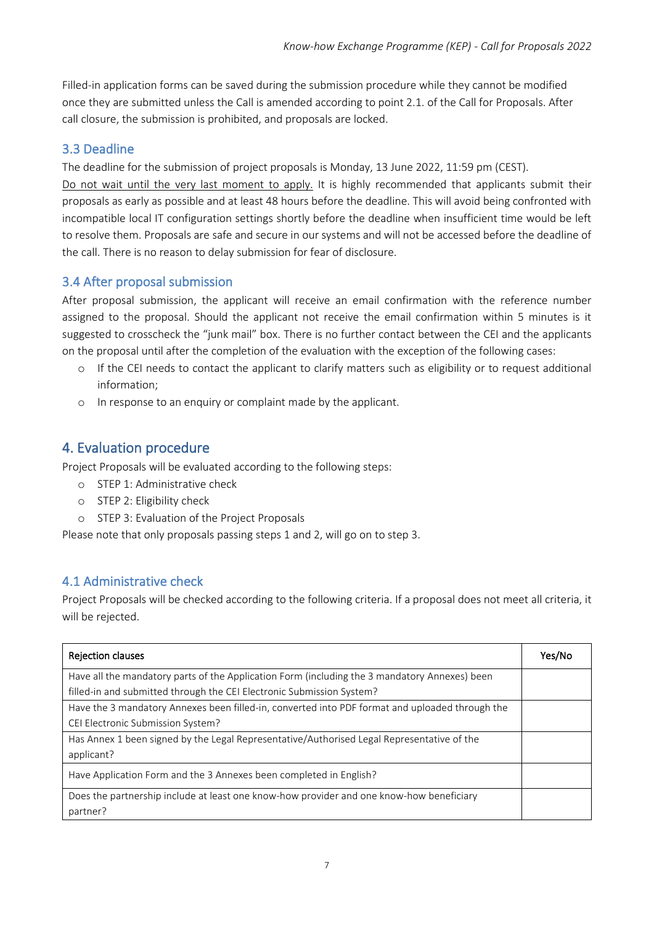Filled-in application forms can be saved during the submission procedure while they cannot be modified once they are submitted unless the Call is amended according to point 2.1. of the Call for Proposals. After call closure, the submission is prohibited, and proposals are locked.

## <span id="page-6-0"></span>3.3 Deadline

The deadline for the submission of project proposals is Monday, 13 June 2022, 11:59 pm (CEST).

Do not wait until the very last moment to apply. It is highly recommended that applicants submit their proposals as early as possible and at least 48 hours before the deadline. This will avoid being confronted with incompatible local IT configuration settings shortly before the deadline when insufficient time would be left to resolve them. Proposals are safe and secure in our systems and will not be accessed before the deadline of the call. There is no reason to delay submission for fear of disclosure.

## <span id="page-6-1"></span>3.4 After proposal submission

After proposal submission, the applicant will receive an email confirmation with the reference number assigned to the proposal. Should the applicant not receive the email confirmation within 5 minutes is it suggested to crosscheck the "junk mail" box. There is no further contact between the CEI and the applicants on the proposal until after the completion of the evaluation with the exception of the following cases:

- o If the CEI needs to contact the applicant to clarify matters such as eligibility or to request additional information;
- <span id="page-6-2"></span>o In response to an enquiry or complaint made by the applicant.

# 4. Evaluation procedure

Project Proposals will be evaluated according to the following steps:

- o STEP 1: Administrative check
- o STEP 2: Eligibility check
- o STEP 3: Evaluation of the Project Proposals

Please note that only proposals passing steps 1 and 2, will go on to step 3.

## <span id="page-6-3"></span>4.1 Administrative check

Project Proposals will be checked according to the following criteria. If a proposal does not meet all criteria, it will be rejected.

| <b>Rejection clauses</b>                                                                        | Yes/No |
|-------------------------------------------------------------------------------------------------|--------|
| Have all the mandatory parts of the Application Form (including the 3 mandatory Annexes) been   |        |
| filled-in and submitted through the CEI Electronic Submission System?                           |        |
| Have the 3 mandatory Annexes been filled-in, converted into PDF format and uploaded through the |        |
| CEI Electronic Submission System?                                                               |        |
| Has Annex 1 been signed by the Legal Representative/Authorised Legal Representative of the      |        |
| applicant?                                                                                      |        |
| Have Application Form and the 3 Annexes been completed in English?                              |        |
| Does the partnership include at least one know-how provider and one know-how beneficiary        |        |
| partner?                                                                                        |        |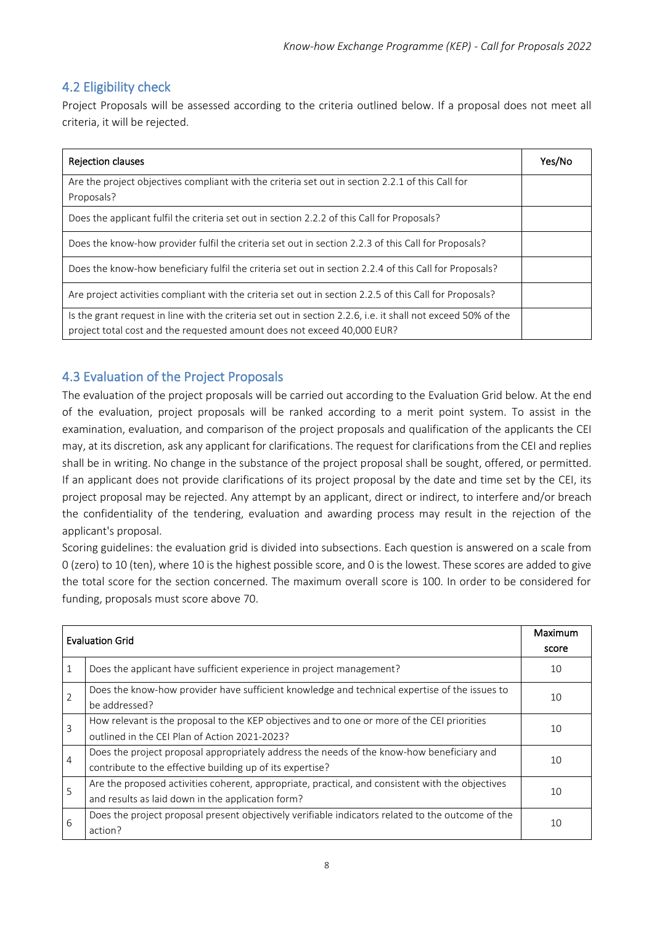## <span id="page-7-0"></span>4.2 Eligibility check

Project Proposals will be assessed according to the criteria outlined below. If a proposal does not meet all criteria, it will be rejected.

| <b>Rejection clauses</b>                                                                                     | Yes/No |
|--------------------------------------------------------------------------------------------------------------|--------|
| Are the project objectives compliant with the criteria set out in section 2.2.1 of this Call for             |        |
| Proposals?                                                                                                   |        |
| Does the applicant fulfil the criteria set out in section 2.2.2 of this Call for Proposals?                  |        |
| Does the know-how provider fulfil the criteria set out in section 2.2.3 of this Call for Proposals?          |        |
| Does the know-how beneficiary fulfil the criteria set out in section 2.2.4 of this Call for Proposals?       |        |
| Are project activities compliant with the criteria set out in section 2.2.5 of this Call for Proposals?      |        |
| Is the grant request in line with the criteria set out in section 2.2.6, i.e. it shall not exceed 50% of the |        |
| project total cost and the requested amount does not exceed 40,000 EUR?                                      |        |

## <span id="page-7-1"></span>4.3 Evaluation of the Project Proposals

The evaluation of the project proposals will be carried out according to the Evaluation Grid below. At the end of the evaluation, project proposals will be ranked according to a merit point system. To assist in the examination, evaluation, and comparison of the project proposals and qualification of the applicants the CEI may, at its discretion, ask any applicant for clarifications. The request for clarifications from the CEI and replies shall be in writing. No change in the substance of the project proposal shall be sought, offered, or permitted. If an applicant does not provide clarifications of its project proposal by the date and time set by the CEI, its project proposal may be rejected. Any attempt by an applicant, direct or indirect, to interfere and/or breach the confidentiality of the tendering, evaluation and awarding process may result in the rejection of the applicant's proposal.

Scoring guidelines: the evaluation grid is divided into subsections. Each question is answered on a scale from 0 (zero) to 10 (ten), where 10 is the highest possible score, and 0 is the lowest. These scores are added to give the total score for the section concerned. The maximum overall score is 100. In order to be considered for funding, proposals must score above 70.

| <b>Evaluation Grid</b> |                                                                                                                                                        | Maximum<br>score |
|------------------------|--------------------------------------------------------------------------------------------------------------------------------------------------------|------------------|
|                        | Does the applicant have sufficient experience in project management?                                                                                   | 10               |
| 2                      | Does the know-how provider have sufficient knowledge and technical expertise of the issues to<br>be addressed?                                         | 10               |
| 3                      | How relevant is the proposal to the KEP objectives and to one or more of the CEI priorities<br>outlined in the CEI Plan of Action 2021-2023?           | 10               |
| $\overline{4}$         | Does the project proposal appropriately address the needs of the know-how beneficiary and<br>contribute to the effective building up of its expertise? | 10               |
| 5                      | Are the proposed activities coherent, appropriate, practical, and consistent with the objectives<br>and results as laid down in the application form?  | 10               |
| 6                      | Does the project proposal present objectively verifiable indicators related to the outcome of the<br>action?                                           | 10               |